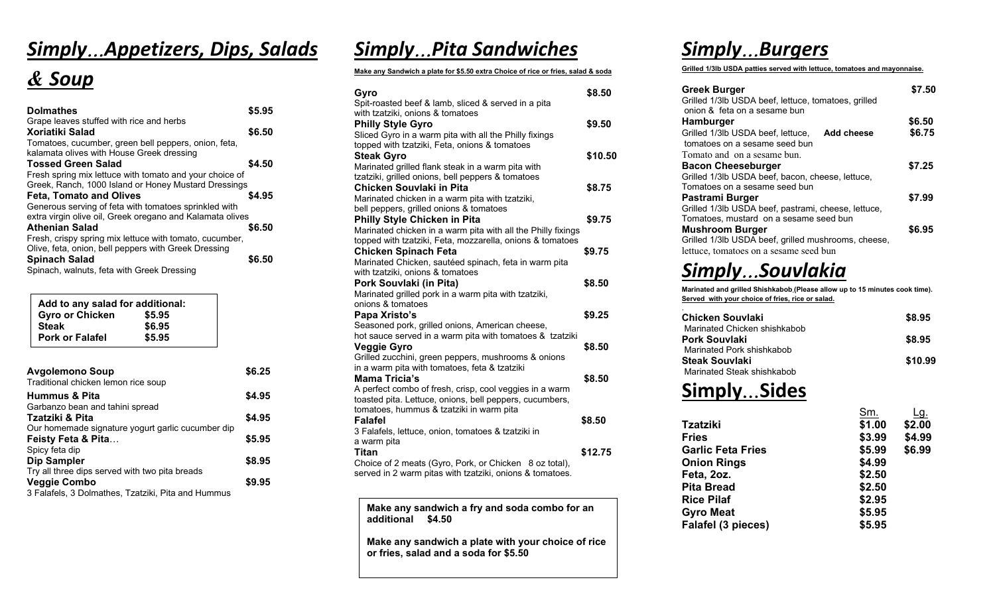## *Simply*…*Appetizers, Dips, Salads*

## *& Soup*

| <b>Dolmathes</b>                                          | \$5.95 |
|-----------------------------------------------------------|--------|
| Grape leaves stuffed with rice and herbs                  |        |
| Xoriatiki Salad                                           | \$6.50 |
| Tomatoes, cucumber, green bell peppers, onion, feta,      |        |
| kalamata olives with House Greek dressing                 |        |
| <b>Tossed Green Salad</b>                                 | \$4.50 |
| Fresh spring mix lettuce with tomato and your choice of   |        |
| Greek, Ranch, 1000 Island or Honey Mustard Dressings      |        |
| <b>Feta, Tomato and Olives</b>                            | \$4.95 |
| Generous serving of feta with tomatoes sprinkled with     |        |
| extra virgin olive oil, Greek oregano and Kalamata olives |        |
| <b>Athenian Salad</b>                                     | \$6.50 |
| Fresh, crispy spring mix lettuce with tomato, cucumber,   |        |
| Olive, feta, onion, bell peppers with Greek Dressing      |        |
|                                                           |        |
| <b>Spinach Salad</b>                                      | \$6.50 |

| Add to any salad for additional: |
|----------------------------------|
| \$5.95                           |
| \$6.95                           |
| \$5.95                           |
|                                  |

| <b>Avgolemono Soup</b><br>Traditional chicken lemon rice soup | \$6.25 |
|---------------------------------------------------------------|--------|
| <b>Hummus &amp; Pita</b>                                      | \$4.95 |
| Garbanzo bean and tahini spread                               |        |
| Tzatziki & Pita                                               | \$4.95 |
| Our homemade signature yogurt garlic cucumber dip             |        |
| Feisty Feta & Pita                                            | \$5.95 |
| Spicy feta dip                                                |        |
| <b>Dip Sampler</b>                                            | \$8.95 |
| Try all three dips served with two pita breads                |        |
| <b>Veggie Combo</b>                                           | \$9.95 |
| 3 Falafels, 3 Dolmathes, Tzatziki, Pita and Hummus            |        |

### *Simply*…*Pita Sandwiches*

#### **Make any Sandwich a plate for \$5.50 extra Choice of rice or fries, salad & soda**

| Gyro                                                                                                   | \$8.50  |
|--------------------------------------------------------------------------------------------------------|---------|
| Spit-roasted beef & lamb, sliced & served in a pita                                                    |         |
| with tzatziki, onions & tomatoes                                                                       |         |
| <b>Philly Style Gyro</b>                                                                               | \$9.50  |
| Sliced Gyro in a warm pita with all the Philly fixings                                                 |         |
| topped with tzatziki, Feta, onions & tomatoes                                                          |         |
| <b>Steak Gyro</b>                                                                                      | \$10.50 |
| Marinated grilled flank steak in a warm pita with<br>tzatziki, grilled onions, bell peppers & tomatoes |         |
| Chicken Souvlaki in Pita                                                                               | \$8.75  |
| Marinated chicken in a warm pita with tzatziki,                                                        |         |
| bell peppers, grilled onions & tomatoes                                                                |         |
| <b>Philly Style Chicken in Pita</b>                                                                    | \$9.75  |
| Marinated chicken in a warm pita with all the Philly fixings                                           |         |
| topped with tzatziki, Feta, mozzarella, onions & tomatoes                                              |         |
| <b>Chicken Spinach Feta</b>                                                                            | \$9.75  |
| Marinated Chicken, sautéed spinach, feta in warm pita                                                  |         |
| with tzatziki, onions & tomatoes                                                                       |         |
| Pork Souvlaki (in Pita)                                                                                | \$8.50  |
| Marinated grilled pork in a warm pita with tzatziki,                                                   |         |
| onions & tomatoes                                                                                      |         |
| Papa Xristo's                                                                                          | \$9.25  |
| Seasoned pork, grilled onions, American cheese,                                                        |         |
| hot sauce served in a warm pita with tomatoes & tzatziki                                               |         |
| Veggie Gyro                                                                                            | \$8.50  |
| Grilled zucchini, green peppers, mushrooms & onions                                                    |         |
| in a warm pita with tomatoes, feta & tzatziki                                                          |         |
| <b>Mama Tricia's</b>                                                                                   | \$8.50  |
| A perfect combo of fresh, crisp, cool veggies in a warm                                                |         |
| toasted pita. Lettuce, onions, bell peppers, cucumbers,<br>tomatoes, hummus & tzatziki in warm pita    |         |
| <b>Falafel</b>                                                                                         | \$8.50  |
| 3 Falafels, lettuce, onion, tomatoes & tzatziki in                                                     |         |
| a warm pita                                                                                            |         |
| Titan                                                                                                  | \$12.75 |
| Choice of 2 meats (Gyro, Pork, or Chicken 8 oz total),                                                 |         |
| served in 2 warm pitas with tzatziki, onions & tomatoes.                                               |         |

**Make any sandwich a fry and soda combo for an additional \$4.50**

**Make any sandwich a plate with your choice of rice or fries, salad and a soda for \$5.50**

## *Simply*…*Burgers*

**Grilled 1/3lb USDA patties served with lettuce, tomatoes and mayonnaise.**

| <b>Greek Burger</b><br>Grilled 1/3lb USDA beef, lettuce, tomatoes, grilled<br>onion & feta on a sesame bun | \$7.50 |
|------------------------------------------------------------------------------------------------------------|--------|
| <b>Hamburger</b>                                                                                           | \$6.50 |
| Grilled 1/3lb USDA beef, lettuce, Add cheese<br>tomatoes on a sesame seed bun                              | \$6.75 |
| Tomato and on a sesame bun.                                                                                |        |
| <b>Bacon Cheeseburger</b>                                                                                  | \$7.25 |
| Grilled 1/3lb USDA beef, bacon, cheese, lettuce,                                                           |        |
| Tomatoes on a sesame seed bun                                                                              |        |
| Pastrami Burger                                                                                            | \$7.99 |
| Grilled 1/3lb USDA beef, pastrami, cheese, lettuce,                                                        |        |
| Tomatoes, mustard on a sesame seed bun                                                                     |        |
| <b>Mushroom Burger</b>                                                                                     | \$6.95 |
| Grilled 1/3lb USDA beef, grilled mushrooms, cheese,                                                        |        |
| lettuce, tomatoes on a sesame seed bun                                                                     |        |

## *Simply*…*Souvlakia*

**Marinated and grilled Shishkabob**.**(Please allow up to 15 minutes cook time). Served with your choice of fries, rice or salad.**

| Chicken Souvlaki                              | \$8.95  |
|-----------------------------------------------|---------|
| Marinated Chicken shishkabob<br>Pork Souvlaki | \$8.95  |
| Marinated Pork shishkabob                     |         |
| <b>Steak Souvlaki</b>                         | \$10.99 |
| Marinated Steak shishkabob                    |         |

### **Simply**…**Sides**

| Sm.    | Lg.    |
|--------|--------|
| \$1.00 | \$2.00 |
| \$3.99 | \$4.99 |
| \$5.99 | \$6.99 |
| \$4.99 |        |
| \$2.50 |        |
| \$2.50 |        |
| \$2.95 |        |
| \$5.95 |        |
| \$5.95 |        |
|        |        |